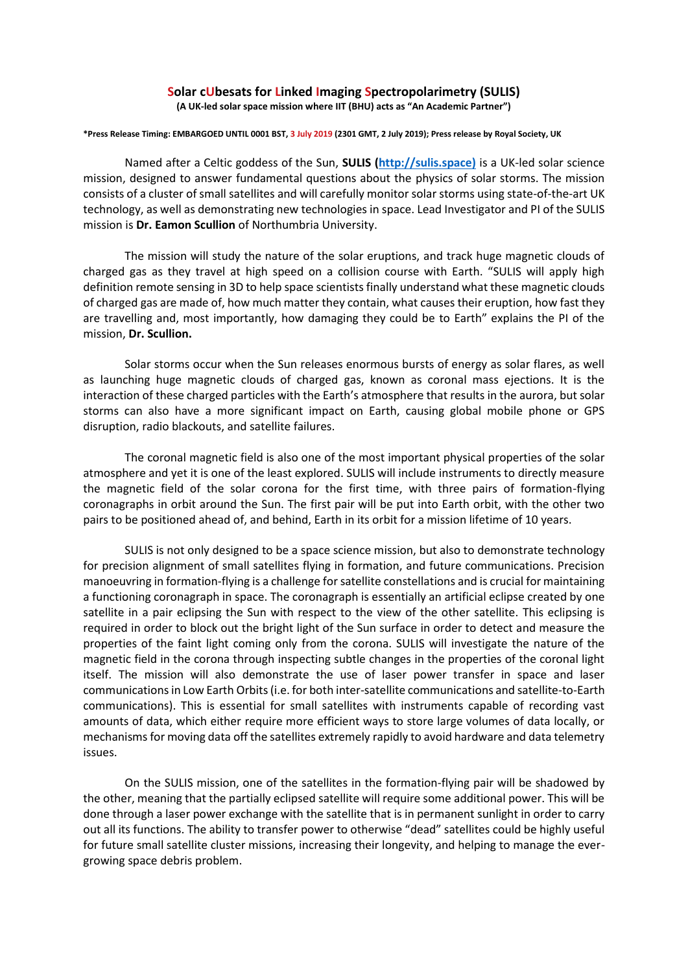## **Solar cUbesats for Linked Imaging Spectropolarimetry (SULIS)**

**(A UK-led solar space mission where IIT (BHU) acts as "An Academic Partner")**

## **\*Press Release Timing: EMBARGOED UNTIL 0001 BST, 3 July 2019 (2301 GMT, 2 July 2019); Press release by Royal Society, UK**

Named after a Celtic goddess of the Sun, **SULIS [\(http://sulis.space\)](http://sulis.space/)** is a UK-led solar science mission, designed to answer fundamental questions about the physics of solar storms. The mission consists of a cluster of small satellites and will carefully monitor solar storms using state-of-the-art UK technology, as well as demonstrating new technologies in space. Lead Investigator and PI of the SULIS mission is **Dr. Eamon Scullion** of Northumbria University.

The mission will study the nature of the solar eruptions, and track huge magnetic clouds of charged gas as they travel at high speed on a collision course with Earth. "SULIS will apply high definition remote sensing in 3D to help space scientists finally understand what these magnetic clouds of charged gas are made of, how much matter they contain, what causes their eruption, how fast they are travelling and, most importantly, how damaging they could be to Earth" explains the PI of the mission, **Dr. Scullion.**

Solar storms occur when the Sun releases enormous bursts of energy as solar flares, as well as launching huge magnetic clouds of charged gas, known as coronal mass ejections. It is the interaction of these charged particles with the Earth's atmosphere that results in the aurora, but solar storms can also have a more significant impact on Earth, causing global mobile phone or GPS disruption, radio blackouts, and satellite failures.

The coronal magnetic field is also one of the most important physical properties of the solar atmosphere and yet it is one of the least explored. SULIS will include instruments to directly measure the magnetic field of the solar corona for the first time, with three pairs of formation-flying coronagraphs in orbit around the Sun. The first pair will be put into Earth orbit, with the other two pairs to be positioned ahead of, and behind, Earth in its orbit for a mission lifetime of 10 years.

SULIS is not only designed to be a space science mission, but also to demonstrate technology for precision alignment of small satellites flying in formation, and future communications. Precision manoeuvring in formation-flying is a challenge for satellite constellations and is crucial for maintaining a functioning coronagraph in space. The coronagraph is essentially an artificial eclipse created by one satellite in a pair eclipsing the Sun with respect to the view of the other satellite. This eclipsing is required in order to block out the bright light of the Sun surface in order to detect and measure the properties of the faint light coming only from the corona. SULIS will investigate the nature of the magnetic field in the corona through inspecting subtle changes in the properties of the coronal light itself. The mission will also demonstrate the use of laser power transfer in space and laser communications in Low Earth Orbits (i.e. for both inter-satellite communications and satellite-to-Earth communications). This is essential for small satellites with instruments capable of recording vast amounts of data, which either require more efficient ways to store large volumes of data locally, or mechanisms for moving data off the satellites extremely rapidly to avoid hardware and data telemetry issues.

On the SULIS mission, one of the satellites in the formation-flying pair will be shadowed by the other, meaning that the partially eclipsed satellite will require some additional power. This will be done through a laser power exchange with the satellite that is in permanent sunlight in order to carry out all its functions. The ability to transfer power to otherwise "dead" satellites could be highly useful for future small satellite cluster missions, increasing their longevity, and helping to manage the evergrowing space debris problem.